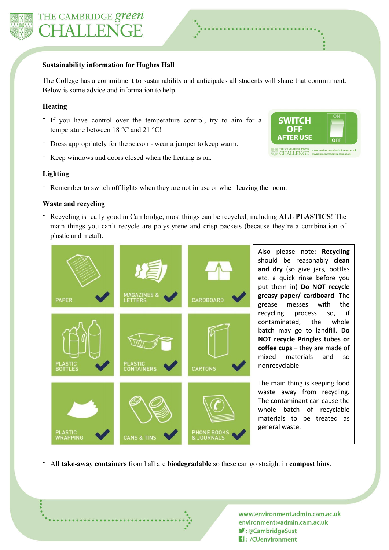

#### **Sustainability information for Hughes Hall**

The College has a commitment to sustainability and anticipates all students will share that commitment. Below is some advice and information to help.

## **Heating**

- If you have control over the temperature control, try to aim for a temperature between 18 °C and 21 °C!
- Dress appropriately for the season wear a jumper to keep warm.
- Keep windows and doors closed when the heating is on.



### **Lighting**

- Remember to switch off lights when they are not in use or when leaving the room.

#### **Waste and recycling**

- Recycling is really good in Cambridge; most things can be recycled, including **ALL PLASTICS**! The main things you can't recycle are polystyrene and crisp packets (because they're a combination of plastic and metal).



Also please note: **Recycling** should be reasonably **clean and dry** (so give jars, bottles etc. a quick rinse before you put them in) **Do NOT recycle greasy paper/ cardboard**. The grease messes with the recycling process so, if contaminated, the whole batch may go to landfill. **Do NOT recycle Pringles tubes or coffee cups** – they are made of mixed materials and so nonrecyclable.

The main thing is keeping food waste away from recycling. The contaminant can cause the whole batch of recyclable materials to be treated as general waste.

- All **take-away containers** from hall are **biodegradable** so these can go straight in **compost bins**.

www.environment.admin.cam.ac.uk environment@admin.cam.ac.uk ♥:@CambridgeSust **1**: /CUenvironment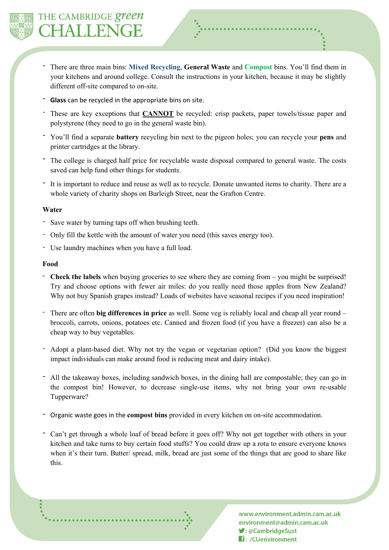

- There are three main bins: **Mixed Recycling**, **General Waste** and **Compost** bins. You'll find them in your kitchens and around college. Consult the instructions in your kitchen, because it may be slightly different off-site compared to on-site.
- Glass can be recycled in the appropriate bins on site.
- *-* These are key exceptions that **CANNOT** be recycled: crisp packets, paper towels/tissue paper and polystyrene (they need to go in the general waste bin).
- *-* You'll find a separate **battery** recycling bin next to the pigeon holes; you can recycle your **pens** and printer cartridges at the library.
- *-* The college is charged half price for recyclable waste disposal compared to general waste. The costs saved can help fund other things for students.
- It is important to reduce and reuse as well as to recycle. Donate unwanted items to charity. There are a whole variety of charity shops on Burleigh Street, near the Grafton Centre.

### **Water**

- Save water by turning taps off when brushing teeth.
- Only fill the kettle with the amount of water you need (this saves energy too).
- Use laundry machines when you have a full load.

#### **Food**

- **Check the labels** when buying groceries to see where they are coming from you might be surprised! Try and choose options with fewer air miles: do you really need those apples from New Zealand? Why not buy Spanish grapes instead? Loads of websites have seasonal recipes if you need inspiration!
- There are often **big differences in price** as well. Some veg is reliably local and cheap all year round broccoli, carrots, onions, potatoes etc. Canned and frozen food (if you have a freezer) can also be a cheap way to buy vegetables.
- Adopt a plant-based diet. Why not try the vegan or vegetarian option? (Did you know the biggest impact individuals can make around food is reducing meat and dairy intake).
- All the takeaway boxes, including sandwich boxes, in the dining hall are compostable; they can go in the compost bin! However, to decrease single-use items, why not bring your own re-usable Tupperware?
- Organic waste goes in the **compost bins** provided in every kitchen on on-site accommodation.
- Can't get through a whole loaf of bread before it goes off? Why not get together with others in your kitchen and take turns to buy certain food stuffs? You could draw up a rota to ensure everyone knows when it's their turn. Butter/ spread, milk, bread are just some of the things that are good to share like this.

www.environment.admin.cam.ac.uk environment@admin.cam.ac.uk ■:@CambridgeSust **H**: /CUenvironment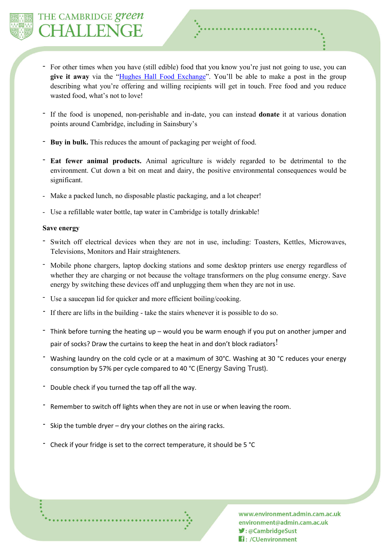

- For other times when you have (still edible) food that you know you're just not going to use, you can **give it away** via the "Hughes Hall Food [Exchange"](https://www.facebook.com/groups/1069170249911918/). You'll be able to make a post in the group describing what you're offering and willing recipients will get in touch. Free food and you reduce wasted food, what's not to love!
- If the food is unopened, non-perishable and in-date, you can instead **donate** it at various donation points around Cambridge, including in Sainsbury's
- **Buy in bulk.** This reduces the amount of packaging per weight of food.
- **Eat fewer animal products.** Animal agriculture is widely regarded to be detrimental to the environment. Cut down a bit on meat and dairy, the positive environmental consequences would be significant.
- Make a packed lunch, no disposable plastic packaging, and a lot cheaper!
- Use a refillable water bottle, tap water in Cambridge is totally drinkable!

### **Save energy**

- Switch off electrical devices when they are not in use, including: Toasters, Kettles, Microwaves, Televisions, Monitors and Hair straighteners.
- Mobile phone chargers, laptop docking stations and some desktop printers use energy regardless of whether they are charging or not because the voltage transformers on the plug consume energy. Save energy by switching these devices off and unplugging them when they are not in use.
- Use a saucepan lid for quicker and more efficient boiling/cooking.
- *-* If there are lifts in the building take the stairs whenever it is possible to do so.
- Think before turning the heating up would you be warm enough if you put on another jumper and pair of socks? Draw the curtains to keep the heat in and don't block radiators!
- Washing laundry on the cold cycle or at a maximum of 30°C. Washing at 30 °C reduces your energy consumption by 57% per cycle compared to 40 °C (Energy Saving Trust).
- *-* Double check if you turned the tap off all the way.
- *-* Remember to switch off lights when they are not in use or when leaving the room.
- *-* Skip the tumble dryer dry your clothes on the airing racks.
- *-* Check if your fridge is set to the correct temperature, it should be 5 °C